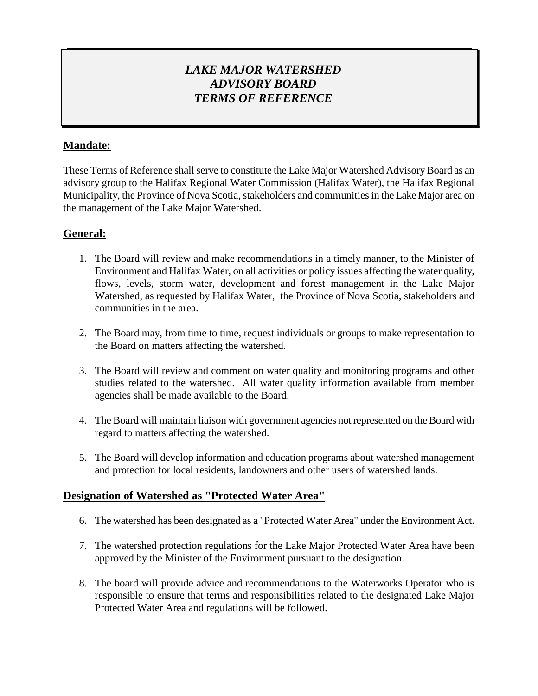# *LAKE MAJOR WATERSHED ADVISORY BOARD TERMS OF REFERENCE*

# **Mandate:**

These Terms of Reference shall serve to constitute the Lake Major Watershed Advisory Board as an advisory group to the Halifax Regional Water Commission (Halifax Water), the Halifax Regional Municipality, the Province of Nova Scotia, stakeholders and communities in the Lake Major area on the management of the Lake Major Watershed.

## **General:**

- 1. The Board will review and make recommendations in a timely manner, to the Minister of Environment and Halifax Water, on all activities or policy issues affecting the water quality, flows, levels, storm water, development and forest management in the Lake Major Watershed, as requested by Halifax Water, the Province of Nova Scotia, stakeholders and communities in the area.
- 2. The Board may, from time to time, request individuals or groups to make representation to the Board on matters affecting the watershed.
- 3. The Board will review and comment on water quality and monitoring programs and other studies related to the watershed. All water quality information available from member agencies shall be made available to the Board.
- 4. The Board will maintain liaison with government agencies not represented on the Board with regard to matters affecting the watershed.
- 5. The Board will develop information and education programs about watershed management and protection for local residents, landowners and other users of watershed lands.

## **Designation of Watershed as "Protected Water Area"**

- 6. The watershed has been designated as a "Protected Water Area" under the Environment Act.
- 7. The watershed protection regulations for the Lake Major Protected Water Area have been approved by the Minister of the Environment pursuant to the designation.
- 8. The board will provide advice and recommendations to the Waterworks Operator who is responsible to ensure that terms and responsibilities related to the designated Lake Major Protected Water Area and regulations will be followed.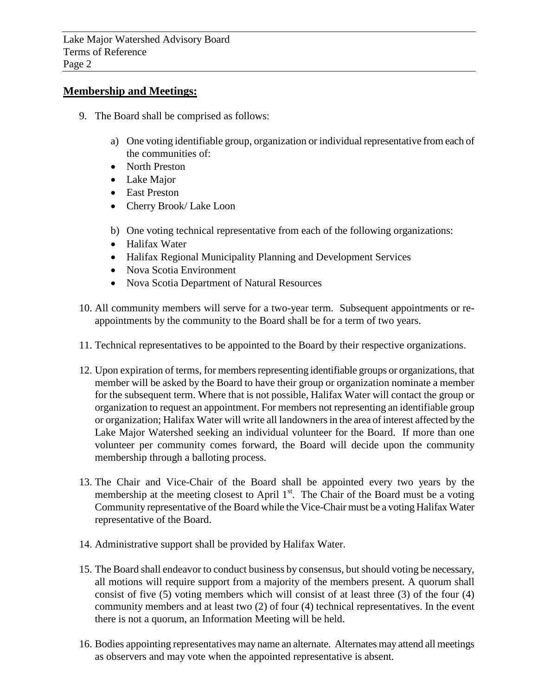#### **Membership and Meetings:**

- 9. The Board shall be comprised as follows:
	- a) One voting identifiable group, organization or individual representative from each of the communities of:
	- North Preston
	- Lake Major
	- East Preston
	- Cherry Brook/ Lake Loon
	- b) One voting technical representative from each of the following organizations:
	- Halifax Water
	- Halifax Regional Municipality Planning and Development Services
	- Nova Scotia Environment
	- Nova Scotia Department of Natural Resources
- 10. All community members will serve for a two-year term. Subsequent appointments or reappointments by the community to the Board shall be for a term of two years.
- 11. Technical representatives to be appointed to the Board by their respective organizations.
- 12. Upon expiration of terms, for members representing identifiable groups or organizations, that member will be asked by the Board to have their group or organization nominate a member for the subsequent term. Where that is not possible, Halifax Water will contact the group or organization to request an appointment. For members not representing an identifiable group or organization; Halifax Water will write all landowners in the area of interest affected by the Lake Major Watershed seeking an individual volunteer for the Board. If more than one volunteer per community comes forward, the Board will decide upon the community membership through a balloting process.
- 13. The Chair and Vice-Chair of the Board shall be appointed every two years by the membership at the meeting closest to April  $1<sup>st</sup>$ . The Chair of the Board must be a voting Community representative of the Board while the Vice-Chair must be a voting Halifax Water representative of the Board.
- 14. Administrative support shall be provided by Halifax Water.
- 15. The Board shall endeavor to conduct business by consensus, but should voting be necessary, all motions will require support from a majority of the members present. A quorum shall consist of five (5) voting members which will consist of at least three (3) of the four (4) community members and at least two (2) of four (4) technical representatives. In the event there is not a quorum, an Information Meeting will be held.
- 16. Bodies appointing representatives may name an alternate. Alternates may attend all meetings as observers and may vote when the appointed representative is absent.